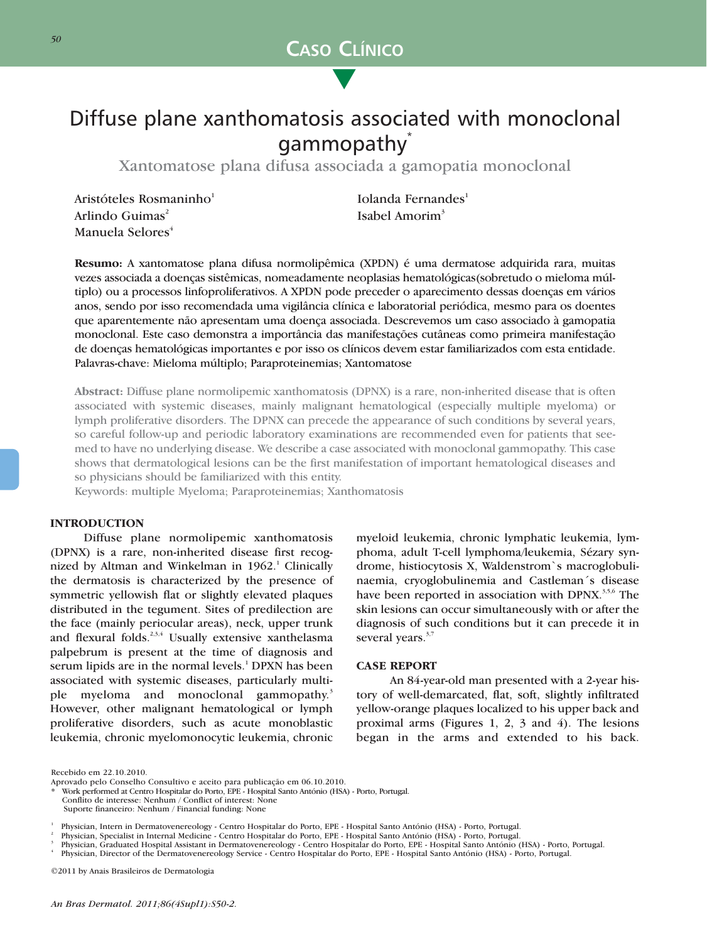

▲

# Diffuse plane xanthomatosis associated with monoclonal gammopathy<sup>\*</sup>

Xantomatose plana difusa associada a gamopatia monoclonal

Aristóteles Rosmaninho<sup>1</sup> Iolanda Fernandes<sup>1</sup> Arlindo Guimas<sup>2</sup> Isabel Amorim<sup>3</sup> Manuela Selores<sup>4</sup>

**Resumo:** A xantomatose plana difusa normolipêmica (XPDN) é uma dermatose adquirida rara, muitas vezes associada a doenças sistêmicas, nomeadamente neoplasias hematológicas(sobretudo o mieloma múltiplo) ou a processos linfoproliferativos. A XPDN pode preceder o aparecimento dessas doenças em vários anos, sendo por isso recomendada uma vigilância clínica e laboratorial periódica, mesmo para os doentes que aparentemente não apresentam uma doença associada. Descrevemos um caso associado à gamopatia monoclonal. Este caso demonstra a importância das manifestações cutâneas como primeira manifestação de doenças hematológicas importantes e por isso os clínicos devem estar familiarizados com esta entidade. Palavras-chave: Mieloma múltiplo; Paraproteinemias; Xantomatose

**Abstract:** Diffuse plane normolipemic xanthomatosis (DPNX) is a rare, non-inherited disease that is often associated with systemic diseases, mainly malignant hematological (especially multiple myeloma) or lymph proliferative disorders. The DPNX can precede the appearance of such conditions by several years, so careful follow-up and periodic laboratory examinations are recommended even for patients that seemed to have no underlying disease. We describe a case associated with monoclonal gammopathy. This case shows that dermatological lesions can be the first manifestation of important hematological diseases and so physicians should be familiarized with this entity.

Keywords: multiple Myeloma; Paraproteinemias; Xanthomatosis

# **INTRODUCTION**

Diffuse plane normolipemic xanthomatosis (DPNX) is a rare, non-inherited disease first recognized by Altman and Winkelman in  $1962$ .<sup>1</sup> Clinically the dermatosis is characterized by the presence of symmetric yellowish flat or slightly elevated plaques distributed in the tegument. Sites of predilection are the face (mainly periocular areas), neck, upper trunk and flexural folds.<sup>2,3,4</sup> Usually extensive xanthelasma palpebrum is present at the time of diagnosis and serum lipids are in the normal levels.<sup>1</sup> DPXN has been associated with systemic diseases, particularly multiple myeloma and monoclonal gammopathy.<sup>3</sup> However, other malignant hematological or lymph proliferative disorders, such as acute monoblastic leukemia, chronic myelomonocytic leukemia, chronic myeloid leukemia, chronic lymphatic leukemia, lymphoma, adult T-cell lymphoma/leukemia, Sézary syndrome, histiocytosis X, Waldenstrom`s macroglobulinaemia, cryoglobulinemia and Castleman´s disease have been reported in association with DPNX.<sup>3,5,6</sup> The skin lesions can occur simultaneously with or after the diagnosis of such conditions but it can precede it in several years.<sup>3,7</sup>

## **CASE REPORT**

An 84-year-old man presented with a 2-year history of well-demarcated, flat, soft, slightly infiltrated yellow-orange plaques localized to his upper back and proximal arms (Figures 1, 2, 3 and 4). The lesions began in the arms and extended to his back.

Recebido em 22.10.2010.

Aprovado pelo Conselho Consultivo e aceito para publicação em 06.10.2010.

<sup>\*</sup> Work performed at Centro Hospitalar do Porto, EPE - Hospital Santo António (HSA) - Porto, Portugal. Conflito de interesse: Nenhum / Conflict of interest: None

Suporte financeiro: Nenhum / Financial funding: None

Physician, Intern in Dermatovenereology - Centro Hospitalar do Porto, EPE - Hospital Santo António (HSA) - Porto, Portugal.<br>Physician, Specialist in Internal Medicine - Centro Hospitalar do Porto, EPE - Hospital Santo Antó

<sup>©2011</sup> by Anais Brasileiros de Dermatologia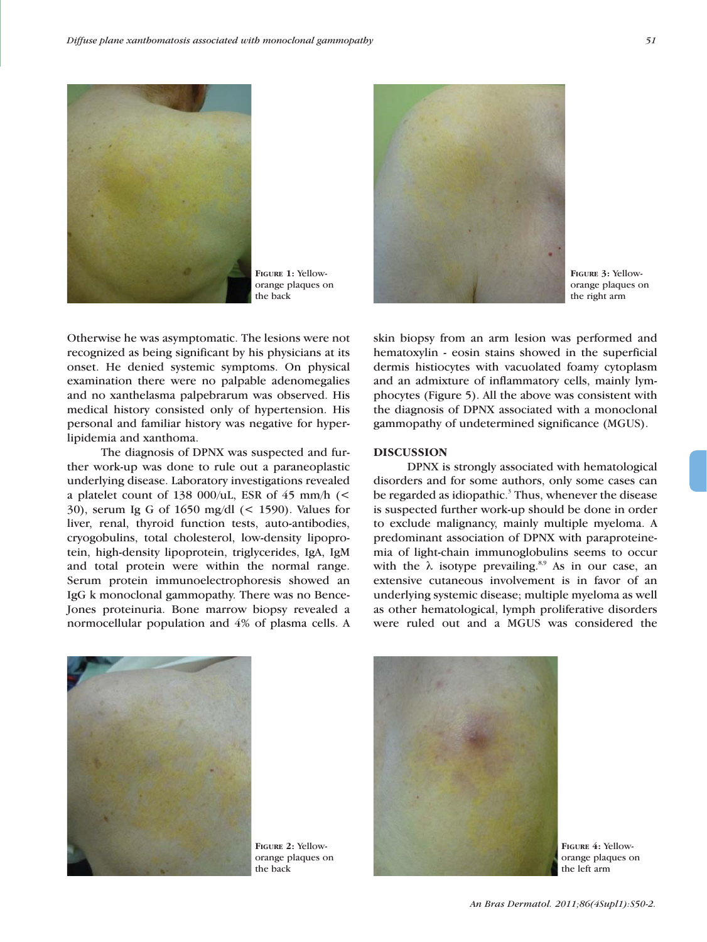

**FIGURE 1:** Yelloworange plaques on the back



**FIGURE 3:** Yelloworange plaques on the right arm

Otherwise he was asymptomatic. The lesions were not recognized as being significant by his physicians at its onset. He denied systemic symptoms. On physical examination there were no palpable adenomegalies and no xanthelasma palpebrarum was observed. His medical history consisted only of hypertension. His personal and familiar history was negative for hyperlipidemia and xanthoma.

The diagnosis of DPNX was suspected and further work-up was done to rule out a paraneoplastic underlying disease. Laboratory investigations revealed a platelet count of 138 000/uL, ESR of 45 mm/h  $\leq$ 30), serum Ig G of 1650 mg/dl (< 1590). Values for liver, renal, thyroid function tests, auto-antibodies, cryogobulins, total cholesterol, low-density lipoprotein, high-density lipoprotein, triglycerides, IgA, IgM and total protein were within the normal range. Serum protein immunoelectrophoresis showed an IgG k monoclonal gammopathy. There was no Bence-Jones proteinuria. Bone marrow biopsy revealed a normocellular population and 4% of plasma cells. A

skin biopsy from an arm lesion was performed and hematoxylin - eosin stains showed in the superficial dermis histiocytes with vacuolated foamy cytoplasm and an admixture of inflammatory cells, mainly lymphocytes (Figure 5). All the above was consistent with the diagnosis of DPNX associated with a monoclonal gammopathy of undetermined significance (MGUS).

### **DISCUSSION**

DPNX is strongly associated with hematological disorders and for some authors, only some cases can be regarded as idiopathic.<sup>3</sup> Thus, whenever the disease is suspected further work-up should be done in order to exclude malignancy, mainly multiple myeloma. A predominant association of DPNX with paraproteinemia of light-chain immunoglobulins seems to occur with the  $\lambda$  isotype prevailing.<sup>8,9</sup> As in our case, an extensive cutaneous involvement is in favor of an underlying systemic disease; multiple myeloma as well as other hematological, lymph proliferative disorders were ruled out and a MGUS was considered the

**FIGURE 2:** Yelloworange plaques on the back



**FIGURE 4:** Yelloworange plaques on the left arm